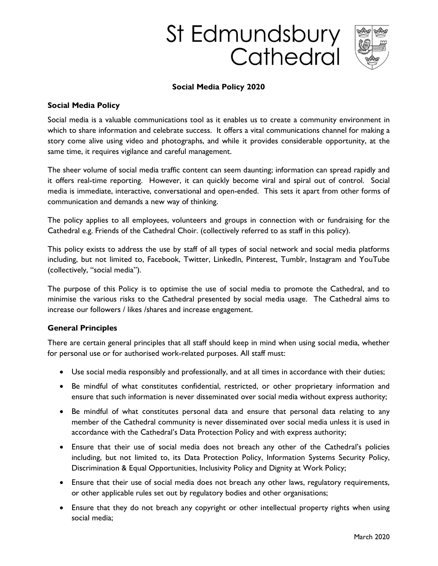# St Edmundsbury Cathedral



#### Social Media Policy 2020

#### Social Media Policy

Social media is a valuable communications tool as it enables us to create a community environment in which to share information and celebrate success. It offers a vital communications channel for making a story come alive using video and photographs, and while it provides considerable opportunity, at the same time, it requires vigilance and careful management.

The sheer volume of social media traffic content can seem daunting; information can spread rapidly and it offers real-time reporting. However, it can quickly become viral and spiral out of control. Social media is immediate, interactive, conversational and open-ended. This sets it apart from other forms of communication and demands a new way of thinking.

The policy applies to all employees, volunteers and groups in connection with or fundraising for the Cathedral e.g. Friends of the Cathedral Choir. (collectively referred to as staff in this policy).

This policy exists to address the use by staff of all types of social network and social media platforms including, but not limited to, Facebook, Twitter, LinkedIn, Pinterest, Tumblr, Instagram and YouTube (collectively, "social media").

The purpose of this Policy is to optimise the use of social media to promote the Cathedral, and to minimise the various risks to the Cathedral presented by social media usage. The Cathedral aims to increase our followers / likes /shares and increase engagement.

#### General Principles

There are certain general principles that all staff should keep in mind when using social media, whether for personal use or for authorised work-related purposes. All staff must:

- Use social media responsibly and professionally, and at all times in accordance with their duties;
- Be mindful of what constitutes confidential, restricted, or other proprietary information and ensure that such information is never disseminated over social media without express authority;
- Be mindful of what constitutes personal data and ensure that personal data relating to any member of the Cathedral community is never disseminated over social media unless it is used in accordance with the Cathedral's Data Protection Policy and with express authority;
- Ensure that their use of social media does not breach any other of the Cathedral's policies including, but not limited to, its Data Protection Policy, Information Systems Security Policy, Discrimination & Equal Opportunities, Inclusivity Policy and Dignity at Work Policy;
- Ensure that their use of social media does not breach any other laws, regulatory requirements, or other applicable rules set out by regulatory bodies and other organisations;
- Ensure that they do not breach any copyright or other intellectual property rights when using social media;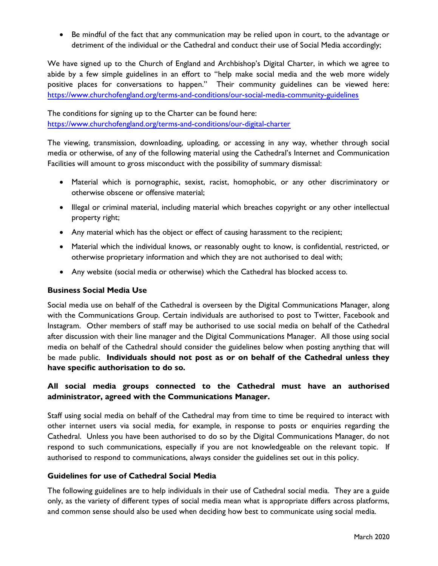• Be mindful of the fact that any communication may be relied upon in court, to the advantage or detriment of the individual or the Cathedral and conduct their use of Social Media accordingly;

We have signed up to the Church of England and Archbishop's Digital Charter, in which we agree to abide by a few simple guidelines in an effort to "help make social media and the web more widely positive places for conversations to happen." Their community guidelines can be viewed here: https://www.churchofengland.org/terms-and-conditions/our-social-media-community-guidelines

The conditions for signing up to the Charter can be found here: https://www.churchofengland.org/terms-and-conditions/our-digital-charter

The viewing, transmission, downloading, uploading, or accessing in any way, whether through social media or otherwise, of any of the following material using the Cathedral's Internet and Communication Facilities will amount to gross misconduct with the possibility of summary dismissal:

- Material which is pornographic, sexist, racist, homophobic, or any other discriminatory or otherwise obscene or offensive material;
- Illegal or criminal material, including material which breaches copyright or any other intellectual property right;
- Any material which has the object or effect of causing harassment to the recipient;
- Material which the individual knows, or reasonably ought to know, is confidential, restricted, or otherwise proprietary information and which they are not authorised to deal with;
- Any website (social media or otherwise) which the Cathedral has blocked access to.

## Business Social Media Use

Social media use on behalf of the Cathedral is overseen by the Digital Communications Manager, along with the Communications Group. Certain individuals are authorised to post to Twitter, Facebook and Instagram. Other members of staff may be authorised to use social media on behalf of the Cathedral after discussion with their line manager and the Digital Communications Manager. All those using social media on behalf of the Cathedral should consider the guidelines below when posting anything that will be made public. Individuals should not post as or on behalf of the Cathedral unless they have specific authorisation to do so.

# All social media groups connected to the Cathedral must have an authorised administrator, agreed with the Communications Manager.

Staff using social media on behalf of the Cathedral may from time to time be required to interact with other internet users via social media, for example, in response to posts or enquiries regarding the Cathedral. Unless you have been authorised to do so by the Digital Communications Manager, do not respond to such communications, especially if you are not knowledgeable on the relevant topic. If authorised to respond to communications, always consider the guidelines set out in this policy.

#### Guidelines for use of Cathedral Social Media

The following guidelines are to help individuals in their use of Cathedral social media. They are a guide only, as the variety of different types of social media mean what is appropriate differs across platforms, and common sense should also be used when deciding how best to communicate using social media.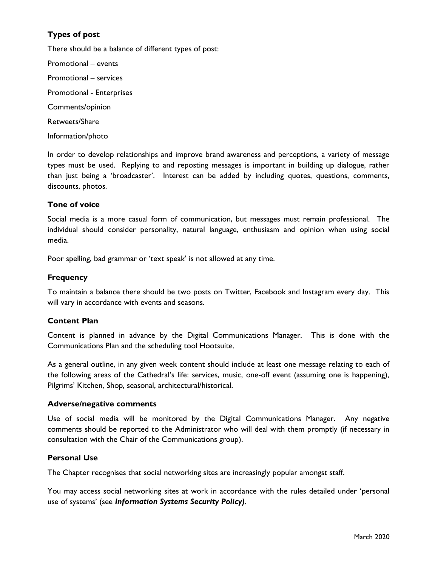# Types of post

There should be a balance of different types of post:

Promotional – events Promotional – services Promotional - Enterprises Comments/opinion Retweets/Share Information/photo

In order to develop relationships and improve brand awareness and perceptions, a variety of message types must be used. Replying to and reposting messages is important in building up dialogue, rather than just being a 'broadcaster'. Interest can be added by including quotes, questions, comments, discounts, photos.

## Tone of voice

Social media is a more casual form of communication, but messages must remain professional. The individual should consider personality, natural language, enthusiasm and opinion when using social media.

Poor spelling, bad grammar or 'text speak' is not allowed at any time.

## **Frequency**

To maintain a balance there should be two posts on Twitter, Facebook and Instagram every day. This will vary in accordance with events and seasons.

## Content Plan

Content is planned in advance by the Digital Communications Manager. This is done with the Communications Plan and the scheduling tool Hootsuite.

As a general outline, in any given week content should include at least one message relating to each of the following areas of the Cathedral's life: services, music, one-off event (assuming one is happening), Pilgrims' Kitchen, Shop, seasonal, architectural/historical.

#### Adverse/negative comments

Use of social media will be monitored by the Digital Communications Manager. Any negative comments should be reported to the Administrator who will deal with them promptly (if necessary in consultation with the Chair of the Communications group).

## Personal Use

The Chapter recognises that social networking sites are increasingly popular amongst staff.

You may access social networking sites at work in accordance with the rules detailed under 'personal use of systems' (see Information Systems Security Policy).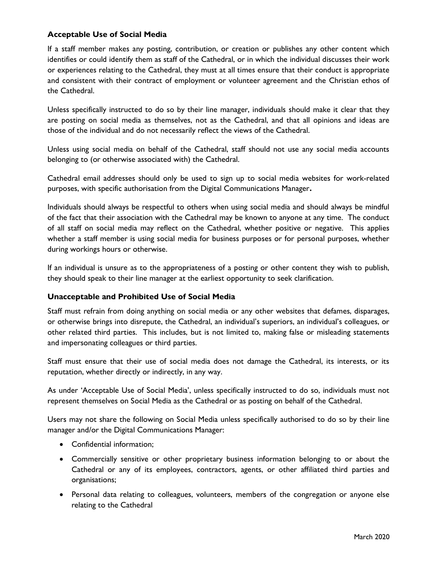## Acceptable Use of Social Media

If a staff member makes any posting, contribution, or creation or publishes any other content which identifies or could identify them as staff of the Cathedral, or in which the individual discusses their work or experiences relating to the Cathedral, they must at all times ensure that their conduct is appropriate and consistent with their contract of employment or volunteer agreement and the Christian ethos of the Cathedral.

Unless specifically instructed to do so by their line manager, individuals should make it clear that they are posting on social media as themselves, not as the Cathedral, and that all opinions and ideas are those of the individual and do not necessarily reflect the views of the Cathedral.

Unless using social media on behalf of the Cathedral, staff should not use any social media accounts belonging to (or otherwise associated with) the Cathedral.

Cathedral email addresses should only be used to sign up to social media websites for work-related purposes, with specific authorisation from the Digital Communications Manager.

Individuals should always be respectful to others when using social media and should always be mindful of the fact that their association with the Cathedral may be known to anyone at any time. The conduct of all staff on social media may reflect on the Cathedral, whether positive or negative. This applies whether a staff member is using social media for business purposes or for personal purposes, whether during workings hours or otherwise.

If an individual is unsure as to the appropriateness of a posting or other content they wish to publish, they should speak to their line manager at the earliest opportunity to seek clarification.

## Unacceptable and Prohibited Use of Social Media

Staff must refrain from doing anything on social media or any other websites that defames, disparages, or otherwise brings into disrepute, the Cathedral, an individual's superiors, an individual's colleagues, or other related third parties. This includes, but is not limited to, making false or misleading statements and impersonating colleagues or third parties.

Staff must ensure that their use of social media does not damage the Cathedral, its interests, or its reputation, whether directly or indirectly, in any way.

As under 'Acceptable Use of Social Media', unless specifically instructed to do so, individuals must not represent themselves on Social Media as the Cathedral or as posting on behalf of the Cathedral.

Users may not share the following on Social Media unless specifically authorised to do so by their line manager and/or the Digital Communications Manager:

- Confidential information;
- Commercially sensitive or other proprietary business information belonging to or about the Cathedral or any of its employees, contractors, agents, or other affiliated third parties and organisations;
- Personal data relating to colleagues, volunteers, members of the congregation or anyone else relating to the Cathedral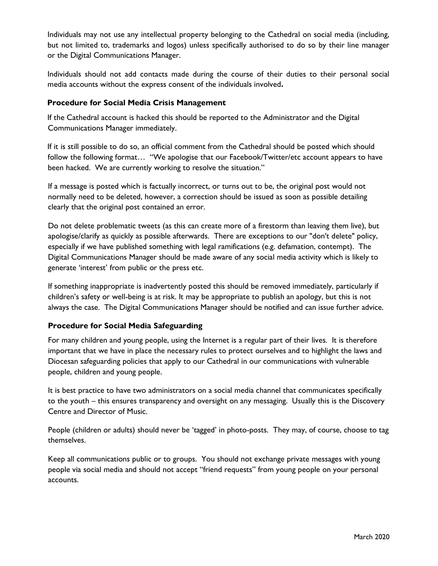Individuals may not use any intellectual property belonging to the Cathedral on social media (including, but not limited to, trademarks and logos) unless specifically authorised to do so by their line manager or the Digital Communications Manager.

Individuals should not add contacts made during the course of their duties to their personal social media accounts without the express consent of the individuals involved.

## Procedure for Social Media Crisis Management

If the Cathedral account is hacked this should be reported to the Administrator and the Digital Communications Manager immediately.

If it is still possible to do so, an official comment from the Cathedral should be posted which should follow the following format… "We apologise that our Facebook/Twitter/etc account appears to have been hacked. We are currently working to resolve the situation."

If a message is posted which is factually incorrect, or turns out to be, the original post would not normally need to be deleted, however, a correction should be issued as soon as possible detailing clearly that the original post contained an error.

Do not delete problematic tweets (as this can create more of a firestorm than leaving them live), but apologise/clarify as quickly as possible afterwards. There are exceptions to our "don't delete" policy, especially if we have published something with legal ramifications (e.g. defamation, contempt). The Digital Communications Manager should be made aware of any social media activity which is likely to generate 'interest' from public or the press etc.

If something inappropriate is inadvertently posted this should be removed immediately, particularly if children's safety or well-being is at risk. It may be appropriate to publish an apology, but this is not always the case. The Digital Communications Manager should be notified and can issue further advice.

## Procedure for Social Media Safeguarding

For many children and young people, using the Internet is a regular part of their lives. It is therefore important that we have in place the necessary rules to protect ourselves and to highlight the laws and Diocesan safeguarding policies that apply to our Cathedral in our communications with vulnerable people, children and young people.

It is best practice to have two administrators on a social media channel that communicates specifically to the youth – this ensures transparency and oversight on any messaging. Usually this is the Discovery Centre and Director of Music.

People (children or adults) should never be 'tagged' in photo-posts. They may, of course, choose to tag themselves.

Keep all communications public or to groups. You should not exchange private messages with young people via social media and should not accept "friend requests" from young people on your personal accounts.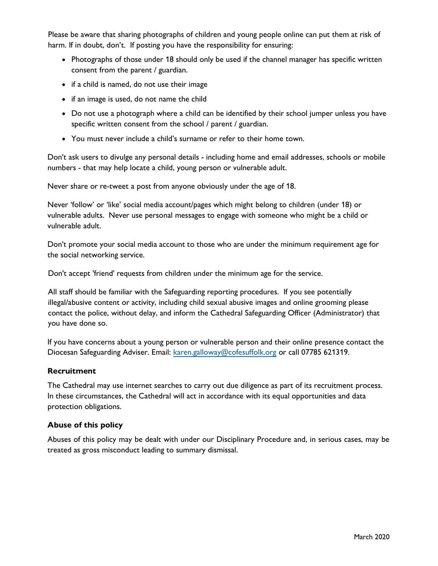Please be aware that sharing photographs of children and young people online can put them at risk of harm. If in doubt, don't. If posting you have the responsibility for ensuring:

- Photographs of those under 18 should only be used if the channel manager has specific written consent from the parent / guardian.
- if a child is named, do not use their image
- if an image is used, do not name the child
- Do not use a photograph where a child can be identified by their school jumper unless you have specific written consent from the school / parent / guardian.
- You must never include a child's surname or refer to their home town.

Don't ask users to divulge any personal details - including home and email addresses, schools or mobile numbers - that may help locate a child, young person or vulnerable adult.

Never share or re-tweet a post from anyone obviously under the age of 18.

Never 'follow' or 'like' social media account/pages which might belong to children (under 18) or vulnerable adults. Never use personal messages to engage with someone who might be a child or vulnerable adult.

Don't promote your social media account to those who are under the minimum requirement age for the social networking service.

Don't accept 'friend' requests from children under the minimum age for the service.

All staff should be familiar with the Safeguarding reporting procedures. If you see potentially illegal/abusive content or activity, including child sexual abusive images and online grooming please contact the police, without delay, and inform the Cathedral Safeguarding Officer (Administrator) that you have done so.

If you have concerns about a young person or vulnerable person and their online presence contact the Diocesan Safeguarding Adviser. Email: karen.galloway@cofesuffolk.org or call 07785 621319.

## Recruitment

The Cathedral may use internet searches to carry out due diligence as part of its recruitment process. In these circumstances, the Cathedral will act in accordance with its equal opportunities and data protection obligations.

## Abuse of this policy

Abuses of this policy may be dealt with under our Disciplinary Procedure and, in serious cases, may be treated as gross misconduct leading to summary dismissal.